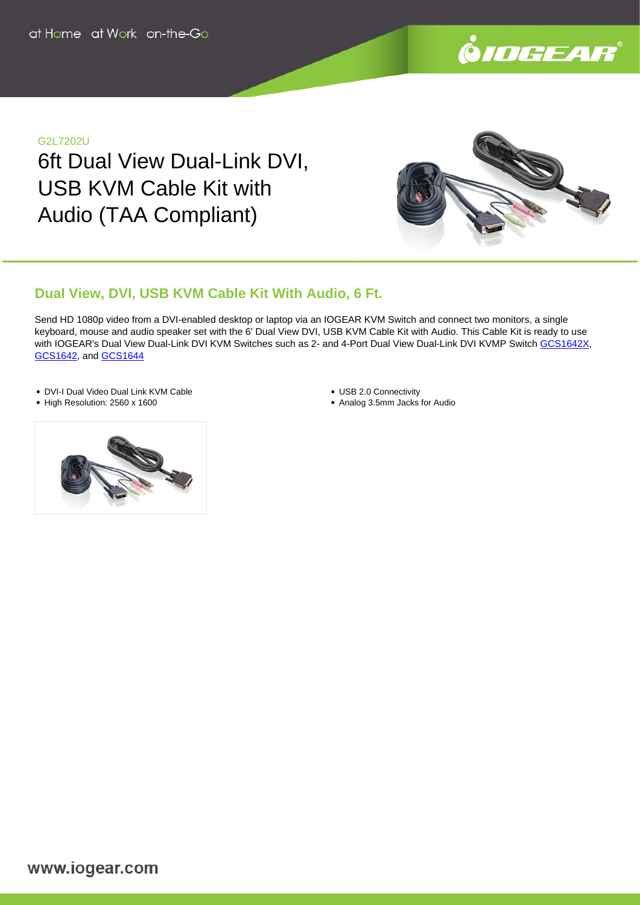

#### G2L7202U

6ft Dual View Dual-Link DVI, USB KVM Cable Kit with Audio (TAA Compliant)



# **Dual View, DVI, USB KVM Cable Kit With Audio, 6 Ft.**

Send HD 1080p video from a DVI-enabled desktop or laptop via an IOGEAR KVM Switch and connect two monitors, a single keyboard, mouse and audio speaker set with the 6' Dual View DVI, USB KVM Cable Kit with Audio. This Cable Kit is ready to use with IOGEAR's Dual View Dual-Link DVI KVM Switches such as 2- and 4-Port Dual View Dual-Link DVI KVMP Switch [GCS1642X](https://www.iogear.com/product/GCS1642X/), [GCS1642,](https://www.iogear.com/product/GCS1642/) and [GCS1644](https://www.iogear.com/product/GCS1644/)

- DVI-I Dual Video Dual Link KVM Cable
- High Resolution: 2560 x 1600
- USB 2.0 Connectivity
- Analog 3.5mm Jacks for Audio